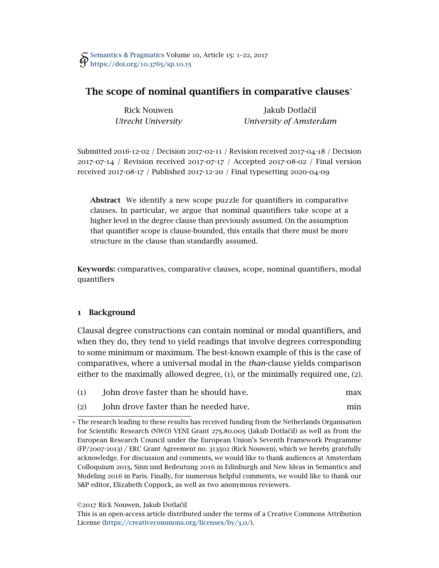# The scope of nominal quantifiers in comparative clauses\*

Rick Nouwen *Utrecht University*

Jakub Dotlačil *University of Amsterdam*

Submitted 2016-12-02 */* Decision 2017-02-11 */* Revision received 2017-04-18 */* Decision 2017-07-14 */* Revision received 2017-07-17 */* Accepted 2017-08-02 */* Final version received 2017-08-17 */* Published 2017-12-20 */* Final typesetting 2020-04-09

Abstract We identify a new scope puzzle for quantifiers in comparative clauses. In particular, we argue that nominal quantifiers take scope at a higher level in the degree clause than previously assumed. On the assumption that quantifier scope is clause-bounded, this entails that there must be more structure in the clause than standardly assumed.

Keywords: comparatives, comparative clauses, scope, nominal quantifiers, modal quantifiers

## 1 Background

Clausal degree constructions can contain nominal or modal quantifiers, and when they do, they tend to yield readings that involve degrees corresponding to some minimum or maximum. The best-known example of this is the case of comparatives, where a universal modal in the *than*-clause yields comparison either to the maximally allowed degree, (1), or the minimally required one, (2).

- <span id="page-0-1"></span><span id="page-0-0"></span>(1) John drove faster than he should have. max
- (2) John drove faster than he needed have. min

## ©2017 Rick Nouwen, Jakub Dotlačil

This is an open-access article distributed under the terms of a Creative Commons Attribution License [\(https://creativecommons.org/licenses/by/](https://creativecommons.org/licenses/by/3.0/)3.0/).

<sup>\*</sup> The research leading to these results has received funding from the Netherlands Organisation for Scientific Research (NWO) VENI Grant 275.80.005 (Jakub Dotlaˇcil) as well as from the European Research Council under the European Union's Seventh Framework Programme (FP/2007-2013) / ERC Grant Agreement no. 313502 (Rick Nouwen), which we hereby gratefully acknowledge. For discussion and comments, we would like to thank audiences at Amsterdam Colloquium 2015, Sinn und Bedeutung 2016 in Edinburgh and New Ideas in Semantics and Modeling 2016 in Paris. Finally, for numerous helpful comments, we would like to thank our S&P editor, Elizabeth Coppock, as well as two anonymous reviewers.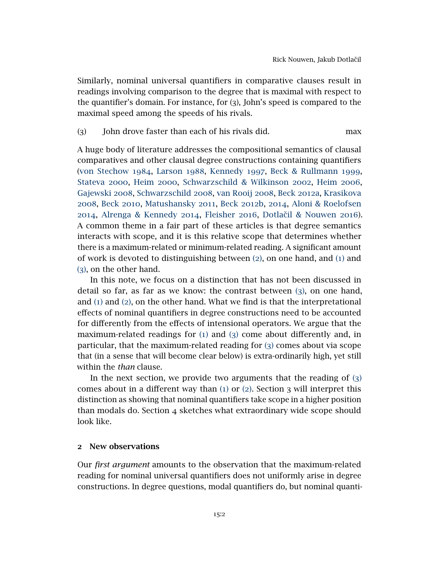Similarly, nominal universal quantifiers in comparative clauses result in readings involving comparison to the degree that is maximal with respect to the quantifier's domain. For instance, for (3), John's speed is compared to the maximal speed among the speeds of his rivals.

## <span id="page-1-0"></span>(3) John drove faster than each of his rivals did. max

A huge body of literature addresses the compositional semantics of clausal comparatives and other clausal degree constructions containing quantifiers [\(von Stechow](#page-21-0) 1984, [Larson](#page-20-0) 1988, [Kennedy](#page-20-1) 1997, [Beck & Rullmann](#page-19-0) 1999, [Stateva](#page-21-1) 2000, [Heim](#page-20-2) 2000, [Schwarzschild & Wilkinson](#page-21-2) 2002, [Heim](#page-20-3) 2006, [Gajewski](#page-20-4) 2008, [Schwarzschild](#page-21-3) 2008, [van Rooij](#page-21-4) 2008, [Beck](#page-19-1) 2012a, [Krasikova](#page-20-5) [2008](#page-20-5), [Beck](#page-19-2) 2010, [Matushansky](#page-20-6) 2011, [Beck](#page-19-3) 2012b, [2014](#page-19-4), [Aloni & Roelofsen](#page-19-5) [2014](#page-19-5), [Alrenga & Kennedy](#page-19-6) 2014, [Fleisher](#page-20-7) 2016, [Dotlaˇcil & Nouwen](#page-20-8) 2016). A common theme in a fair part of these articles is that degree semantics interacts with scope, and it is this relative scope that determines whether there is a maximum-related or minimum-related reading. A significant amount of work is devoted to distinguishing between  $(2)$  $(2)$  $(2)$ , on one hand, and  $(1)$  $(1)$  $(1)$  and ([3](#page-1-0)), on the other hand.

In this note, we focus on a distinction that has not been discussed in detail so far, as far as we know: the contrast between ([3](#page-1-0)), on one hand, and ([1](#page-0-1)) and ([2](#page-0-0)), on the other hand. What we find is that the interpretational effects of nominal quantifiers in degree constructions need to be accounted for differently from the effects of intensional operators. We argue that the maximum-related readings for  $(i)$  and  $(j)$  come about differently and, in particular, that the maximum-related reading for ([3](#page-1-0)) comes about via scope that (in a sense that will become clear below) is extra-ordinarily high, yet still within the *than* clause.

In the next section, we provide two arguments that the reading of  $(3)$  $(3)$  $(3)$ comes about in a different way than  $(1)$  $(1)$  $(1)$  or  $(2)$  $(2)$  $(2)$ . Section 3 will interpret this distinction as showing that nominal quantifiers take scope in a higher position than modals do. Section 4 sketches what extraordinary wide scope should look like.

#### 2 New observations

Our *first argument* amounts to the observation that the maximum-related reading for nominal universal quantifiers does not uniformly arise in degree constructions. In degree questions, modal quantifiers do, but nominal quanti-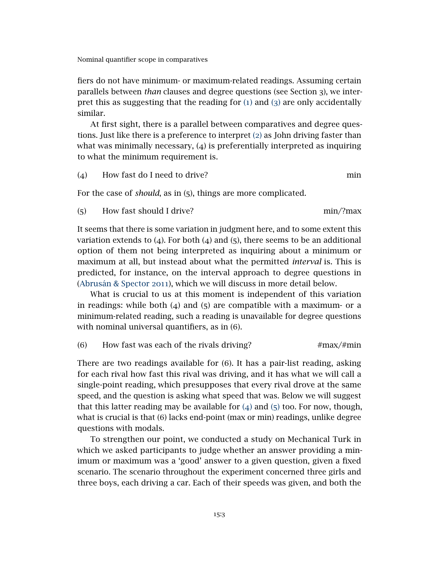fiers do not have minimum- or maximum-related readings. Assuming certain parallels between *than* clauses and degree questions (see Section 3), we interpret this as suggesting that the reading for ([1](#page-0-1)) and ([3](#page-1-0)) are only accidentally similar.

At first sight, there is a parallel between comparatives and degree questions. Just like there is a preference to interpret ([2](#page-0-0)) as John driving faster than what was minimally necessary,  $(4)$  is preferentially interpreted as inquiring to what the minimum requirement is.

<span id="page-2-0"></span>(4) How fast do I need to drive? min

For the case of *should*, as in (5), things are more complicated.

<span id="page-2-1"></span>(5) How fast should I drive? min/?max

It seems that there is some variation in judgment here, and to some extent this variation extends to  $(4)$ . For both  $(4)$  and  $(5)$ , there seems to be an additional option of them not being interpreted as inquiring about a minimum or maximum at all, but instead about what the permitted *interval* is. This is predicted, for instance, on the interval approach to degree questions in [\(Abrusán & Spector](#page-19-7) 2011), which we will discuss in more detail below.

What is crucial to us at this moment is independent of this variation in readings: while both  $(4)$  and  $(5)$  are compatible with a maximum- or a minimum-related reading, such a reading is unavailable for degree questions with nominal universal quantifiers, as in (6).

#### (6) How fast was each of the rivals driving?  $\#max/\#min$

There are two readings available for (6). It has a pair-list reading, asking for each rival how fast this rival was driving, and it has what we will call a single-point reading, which presupposes that every rival drove at the same speed, and the question is asking what speed that was. Below we will suggest that this latter reading may be available for  $(4)$  $(4)$  $(4)$  and  $(5)$  $(5)$  $(5)$  too. For now, though, what is crucial is that (6) lacks end-point (max or min) readings, unlike degree questions with modals.

To strengthen our point, we conducted a study on Mechanical Turk in which we asked participants to judge whether an answer providing a minimum or maximum was a 'good' answer to a given question, given a fixed scenario. The scenario throughout the experiment concerned three girls and three boys, each driving a car. Each of their speeds was given, and both the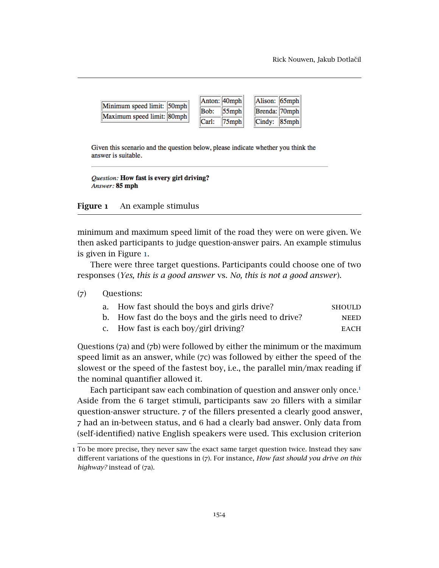| Minimum speed limit: 50mph |       | Anton: 40mph   | Alison: 65mph |  |
|----------------------------|-------|----------------|---------------|--|
| Maximum speed limit: 80mph |       | Bob: $ 55$ mph | Brenda: 70mph |  |
|                            | Carl: | $75$ mph       | Cindy: 85mph  |  |

Given this scenario and the question below, please indicate whether you think the answer is suitable.

<span id="page-3-0"></span>Question: How fast is every girl driving? Answer: 85 mph

Figure 1 An example stimulus

minimum and maximum speed limit of the road they were on were given. We then asked participants to judge question-answer pairs. An example stimulus is given in Figure [1](#page-3-0).

There were three target questions. Participants could choose one of two responses (*Yes, this is a good answer* vs. *No, this is not a good answer*).

### (7) Questions:

| a. How fast should the boys and girls drive?         | <b>SHOULD</b> |
|------------------------------------------------------|---------------|
| b. How fast do the boys and the girls need to drive? | <b>NEED</b>   |
| c. How fast is each boy/girl driving?                | <b>EACH</b>   |

Questions (7a) and (7b) were followed by either the minimum or the maximum speed limit as an answer, while (7c) was followed by either the speed of the slowest or the speed of the fastest boy, i.e., the parallel min/max reading if the nominal quantifier allowed it.

Each participant saw each combination of question and answer only once.<sup>[1](#page-3-1)</sup> Aside from the 6 target stimuli, participants saw 20 fillers with a similar question-answer structure. 7 of the fillers presented a clearly good answer, 7 had an in-between status, and 6 had a clearly bad answer. Only data from (self-identified) native English speakers were used. This exclusion criterion

<span id="page-3-1"></span><sup>1</sup> To be more precise, they never saw the exact same target question twice. Instead they saw different variations of the questions in (7). For instance, *How fast should you drive on this highway?* instead of (7a).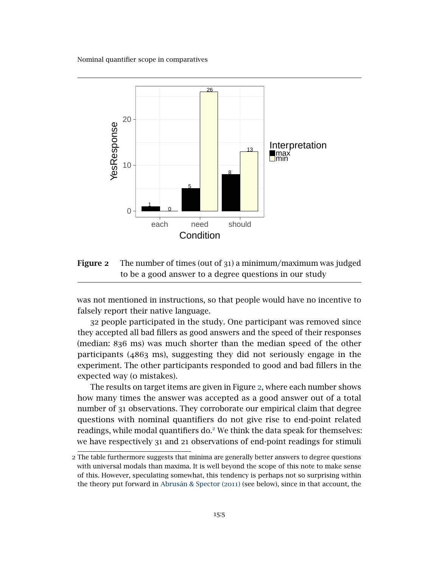

<span id="page-4-0"></span>Figure 2 The number of times (out of 31) a minimum/maximum was judged to be a good answer to a degree questions in our study

was not mentioned in instructions, so that people would have no incentive to falsely report their native language.

32 people participated in the study. One participant was removed since they accepted all bad fillers as good answers and the speed of their responses (median: 836 ms) was much shorter than the median speed of the other participants (4863 ms), suggesting they did not seriously engage in the experiment. The other participants responded to good and bad fillers in the expected way (o mistakes).

The results on target items are given in Figure [2](#page-4-0), where each number shows how many times the answer was accepted as a good answer out of a total number of 31 observations. They corroborate our empirical claim that degree questions with nominal quantifiers do not give rise to end-point related readings, while modal quantifiers do.<sup>[2](#page-4-1)</sup> We think the data speak for themselves: we have respectively 31 and 21 observations of end-point readings for stimuli

<span id="page-4-1"></span><sup>2</sup> The table furthermore suggests that minima are generally better answers to degree questions with universal modals than maxima. It is well beyond the scope of this note to make sense of this. However, speculating somewhat, this tendency is perhaps not so surprising within the theory put forward in [Abrusán & Spector \(](#page-19-7)2011) (see below), since in that account, the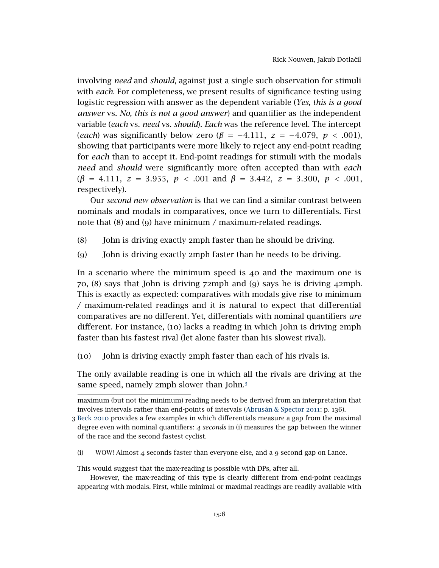involving *need* and *should*, against just a single such observation for stimuli with *each*. For completeness, we present results of significance testing using logistic regression with answer as the dependent variable (*Yes, this is a good answer* vs. *No, this is not a good answer*) and quantifier as the independent variable (*each* vs. *need* vs. *should*). *Each* was the reference level. The intercept (*each*) was significantly below zero (*β* = −4*.*111*, z* = −4*.*079*, p < .*001), showing that participants were more likely to reject any end-point reading for *each* than to accept it. End-point readings for stimuli with the modals *need* and *should* were significantly more often accepted than with *each* (*β* = 4*.*111*, z* = 3*.*955*, p < .*001 and *β* = 3*.*442*, z* = 3*.*300*, p < .*001, respectively).

Our *second new observation* is that we can find a similar contrast between nominals and modals in comparatives, once we turn to differentials. First note that (8) and (9) have minimum / maximum-related readings.

- <span id="page-5-1"></span>(8) John is driving exactly 2mph faster than he should be driving.
- (9) John is driving exactly 2mph faster than he needs to be driving.

In a scenario where the minimum speed is  $40$  and the maximum one is 70, (8) says that John is driving 72mph and (9) says he is driving 42mph. This is exactly as expected: comparatives with modals give rise to minimum / maximum-related readings and it is natural to expect that differential comparatives are no different. Yet, differentials with nominal quantifiers *are* different. For instance, (10) lacks a reading in which John is driving 2mph faster than his fastest rival (let alone faster than his slowest rival).

<span id="page-5-2"></span>(10) John is driving exactly 2mph faster than each of his rivals is.

The only available reading is one in which all the rivals are driving at the same speed, namely 2mph slower than John.[3](#page-5-0)

(i) WOW! Almost 4 seconds faster than everyone else, and a 9 second gap on Lance.

This would suggest that the max-reading is possible with DPs, after all.

However, the max-reading of this type is clearly different from end-point readings appearing with modals. First, while minimal or maximal readings are readily available with

maximum (but not the minimum) reading needs to be derived from an interpretation that involves intervals rather than end-points of intervals [\(Abrusán & Spector](#page-19-7) 2011: p. 136).

<span id="page-5-0"></span><sup>3</sup> Beck [2010](#page-19-2) provides a few examples in which differentials measure a gap from the maximal degree even with nominal quantifiers: *4 seconds* in (i) measures the gap between the winner of the race and the second fastest cyclist.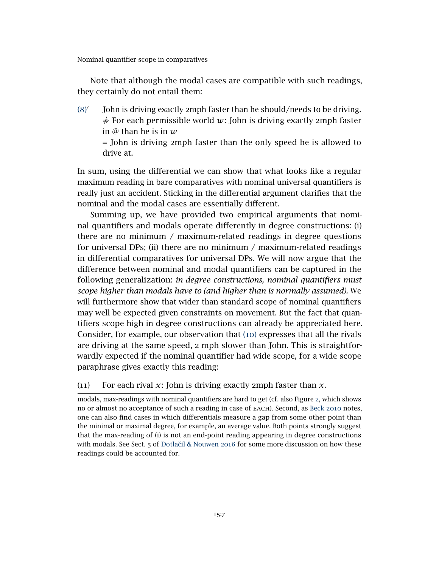drive at.

Note that although the modal cases are compatible with such readings, they certainly do not entail them:

 $(8)$  $(8)$  $(8)$ <sup>'</sup> John is driving exactly 2mph faster than he should/needs to be driving.  $\frac{1}{\sqrt{2}}$  For each permissible world *w*: John is driving exactly 2mph faster in @ than he is in *w* = John is driving 2mph faster than the only speed he is allowed to

In sum, using the differential we can show that what looks like a regular maximum reading in bare comparatives with nominal universal quantifiers is really just an accident. Sticking in the differential argument clarifies that the nominal and the modal cases are essentially different.

Summing up, we have provided two empirical arguments that nominal quantifiers and modals operate differently in degree constructions: (i) there are no minimum / maximum-related readings in degree questions for universal DPs; (ii) there are no minimum / maximum-related readings in differential comparatives for universal DPs. We will now argue that the difference between nominal and modal quantifiers can be captured in the following generalization: *in degree constructions, nominal quantifiers must scope higher than modals have to (and higher than is normally assumed).* We will furthermore show that wider than standard scope of nominal quantifiers may well be expected given constraints on movement. But the fact that quantifiers scope high in degree constructions can already be appreciated here. Consider, for example, our observation that ([10](#page-5-2)) expresses that all the rivals are driving at the same speed, 2 mph slower than John. This is straightforwardly expected if the nominal quantifier had wide scope, for a wide scope paraphrase gives exactly this reading:

(11) For each rival *x*: John is driving exactly 2mph faster than *x*.

modals, max-readings with nominal quantifiers are hard to get (cf. also Figure [2](#page-4-0), which shows no or almost no acceptance of such a reading in case of each). Second, as [Beck](#page-19-2) 2010 notes, one can also find cases in which differentials measure a gap from some other point than the minimal or maximal degree, for example, an average value. Both points strongly suggest that the max-reading of (i) is not an end-point reading appearing in degree constructions with modals. See Sect. 5 of Dotlačil & Nouwen 2016 for some more discussion on how these readings could be accounted for.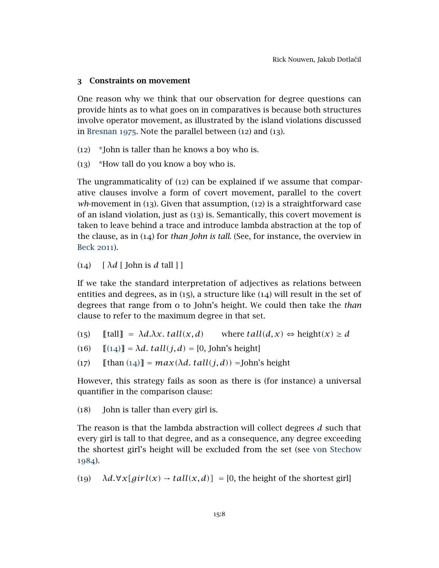## 3 Constraints on movement

One reason why we think that our observation for degree questions can provide hints as to what goes on in comparatives is because both structures involve operator movement, as illustrated by the island violations discussed in [Bresnan](#page-20-9) 1975. Note the parallel between (12) and (13).

- (12) \*John is taller than he knows a boy who is.
- (13) \*How tall do you know a boy who is.

The ungrammaticality of (12) can be explained if we assume that comparative clauses involve a form of covert movement, parallel to the covert *wh*-movement in (13). Given that assumption, (12) is a straightforward case of an island violation, just as (13) is. Semantically, this covert movement is taken to leave behind a trace and introduce lambda abstraction at the top of the clause, as in (14) for *than John is tall*. (See, for instance, the overview in [Beck](#page-19-8) 2011).

## <span id="page-7-0"></span>(14)  $\lceil \lambda d \rceil$  John is *d* tall  $\lceil \cdot \rceil$

If we take the standard interpretation of adjectives as relations between entities and degrees, as in  $(15)$ , a structure like  $(14)$  will result in the set of degrees that range from 0 to John's height. We could then take the *than* clause to refer to the maximum degree in that set.

- $(15)$  [[tall] =  $\lambda d.\lambda x.$  tall $(x, d)$  where  $tall(d, x) \Leftrightarrow$  height $(x) \geq d$
- (16)  $[(14)] = \lambda d$  $[(14)] = \lambda d$  $[(14)] = \lambda d$ . tall $(j, d) = [0, \text{John's height}]$
- (17)  $\llbracket$  [than ([14](#page-7-0))] =  $max(\lambda d. \, tall(j, d))$  = John's height

However, this strategy fails as soon as there is (for instance) a universal quantifier in the comparison clause:

(18) John is taller than every girl is.

The reason is that the lambda abstraction will collect degrees *d* such that every girl is tall to that degree, and as a consequence, any degree exceeding the shortest girl's height will be excluded from the set (see [von Stechow](#page-21-0) [1984](#page-21-0)).

(19)  $\lambda d.\forall x[girl(x) \rightarrow tall(x,d)] = [0,$  the height of the shortest girl]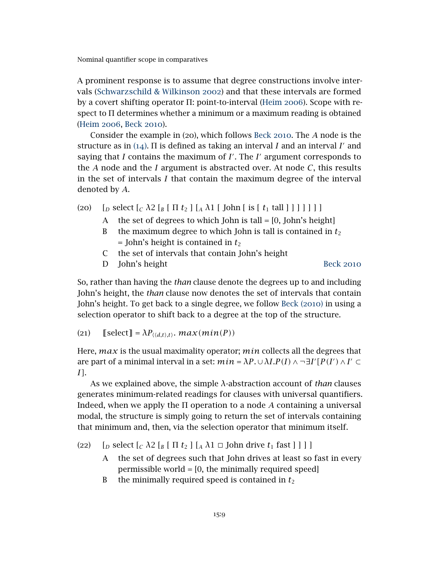A prominent response is to assume that degree constructions involve intervals [\(Schwarzschild & Wilkinson](#page-21-2) 2002) and that these intervals are formed by a covert shifting operator Π: point-to-interval [\(Heim](#page-20-3) 2006). Scope with respect to Π determines whether a minimum or a maximum reading is obtained [\(Heim](#page-20-3) 2006, [Beck](#page-19-2) 2010).

Consider the example in (20), which follows Beck [2010](#page-19-2). The *A* node is the structure as in  $(14)$  $(14)$  $(14)$ .  $\Pi$  is defined as taking an interval *I* and an interval *I'* and saying that  $I$  contains the maximum of  $I'$ . The  $I'$  argument corresponds to the *A* node and the *I* argument is abstracted over. At node *C*, this results in the set of intervals *I* that contain the maximum degree of the interval denoted by *A*.

- (20)  $\left[ \int_D \text{select} \left[ C \lambda^2 \left[ B \mid \Pi t_2 \right] \left[ A \lambda^2 \left[ \text{John} \left[ \text{is} \left[ t_1 \text{ tall} \right] \right] \right] \right] \right] \right]$ 
	- A the set of degrees to which John is tall  $=[0, John's height]$
	- B the maximum degree to which John is tall is contained in  $t_2$  $=$  John's height is contained in  $t_2$
	- C the set of intervals that contain John's height
	- D John's height [Beck](#page-19-2) 2010

So, rather than having the *than* clause denote the degrees up to and including John's height, the *than* clause now denotes the set of intervals that contain John's height. To get back to a single degree, we follow [Beck \(](#page-19-2)2010) in using a selection operator to shift back to a degree at the top of the structure.

(21)  $[ \text{select} ] = \lambda P_{\langle \langle d, t \rangle, t \rangle}$ *. max(min(P))* 

Here, *max* is the usual maximality operator; *min* collects all the degrees that are part of a minimal interval in a set:  $min = \lambda P \cdot \cup \lambda I.P(I) \wedge \neg \exists I'[P(I') \wedge I' \subset I$ *I]*.

As we explained above, the simple *λ*-abstraction account of *than* clauses generates minimum-related readings for clauses with universal quantifiers. Indeed, when we apply the Π operation to a node *A* containing a universal modal, the structure is simply going to return the set of intervals containing that minimum and, then, via the selection operator that minimum itself.

(22)  $\[$   $\[$   $\[$ *D* select  $[$ *C*  $\lambda$ 2  $[$ *B*  $[$   $\Pi$  *t*<sub>2</sub>  $]$   $[$ *A*  $\Lambda$ 1  $\Box$  *J*ohn drive *t*<sub>1</sub> fast  $]$   $]$   $]$   $]$ 

- A the set of degrees such that John drives at least so fast in every permissible world = [0, the minimally required speed]
- B the minimally required speed is contained in  $t_2$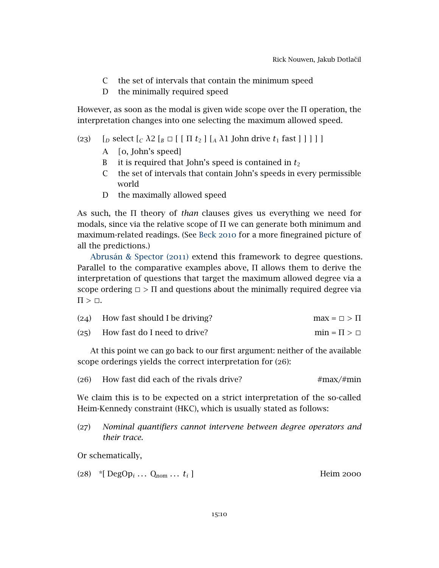- C the set of intervals that contain the minimum speed
- D the minimally required speed

However, as soon as the modal is given wide scope over the Π operation, the interpretation changes into one selecting the maximum allowed speed.

## (23)  $\left[ \int_D \text{select} \left[ C \lambda^2 \left[ B \Box \right[ \left[ \Pi t_2 \right] \left[ A \lambda^2 \text{ John drive} t_1 \text{ fast} \right] \right] \right] \right]$

- A *[*0, John's speed]
- B it is required that John's speed is contained in  $t_2$
- C the set of intervals that contain John's speeds in every permissible world
- D the maximally allowed speed

As such, the Π theory of *than* clauses gives us everything we need for modals, since via the relative scope of  $\Pi$  we can generate both minimum and maximum-related readings. (See [Beck](#page-19-2) 2010 for a more finegrained picture of all the predictions.)

[Abrusán & Spector \(](#page-19-7)2011) extend this framework to degree questions. Parallel to the comparative examples above, Π allows them to derive the interpretation of questions that target the maximum allowed degree via a scope ordering  $\Box$  >  $\Pi$  and questions about the minimally required degree via  $\Pi > \Box$ .

| $(24)$ How fast should I be driving? | $max = \Box > \Pi$    |
|--------------------------------------|-----------------------|
| (25) How fast do I need to drive?    | $min = \Pi > \square$ |

At this point we can go back to our first argument: neither of the available scope orderings yields the correct interpretation for (26):

<span id="page-9-0"></span>(26) How fast did each of the rivals drive?  $\#max/\#min$ 

We claim this is to be expected on a strict interpretation of the so-called Heim-Kennedy constraint (HKC), which is usually stated as follows:

(27) *Nominal quantifiers cannot intervene between degree operators and their trace.*

Or schematically,

|  | (28) *[ $\text{DegOp}_i \dots \text{Q}_{\text{nom}} \dots t_i$ ] |  | Heim 2000 |
|--|------------------------------------------------------------------|--|-----------|
|--|------------------------------------------------------------------|--|-----------|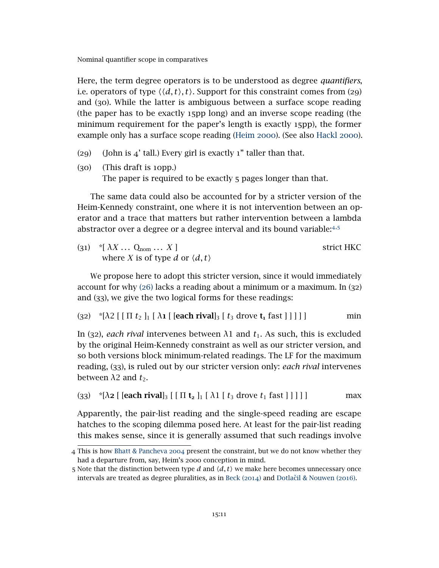Here, the term degree operators is to be understood as degree *quantifiers*, i.e. operators of type  $\langle \langle d, t \rangle, t \rangle$ . Support for this constraint comes from (29) and (30). While the latter is ambiguous between a surface scope reading (the paper has to be exactly 15pp long) and an inverse scope reading (the minimum requirement for the paper's length is exactly 15pp), the former example only has a surface scope reading [\(Heim](#page-20-2) 2000). (See also [Hackl](#page-20-10) 2000).

- (29) (John is  $4'$  tall.) Every girl is exactly 1" taller than that.
- (30) (This draft is 10pp.) The paper is required to be exactly 5 pages longer than that.

The same data could also be accounted for by a stricter version of the Heim-Kennedy constraint, one where it is not intervention between an operator and a trace that matters but rather intervention between a lambda abstractor over a degree or a degree interval and its bound variable:[4](#page-10-0)*,*[5](#page-10-1)

| $(31)$ *[ $\lambda X$ $Q_{\text{nom}}$ X]      | strict HKC |
|------------------------------------------------|------------|
| where X is of type d or $\langle d, t \rangle$ |            |

We propose here to adopt this stricter version, since it would immediately account for why ([26](#page-9-0)) lacks a reading about a minimum or a maximum. In (32) and (33), we give the two logical forms for these readings:

(32)  $*(\lambda 2 \mid [\Pi t_2]_1 [\lambda 1] [\text{each rival}]_3 [\text{t}_3 \text{ drove } t_1 \text{ fast }]]]]$  min

In (32), *each rival* intervenes between  $λ1$  and  $t<sub>1</sub>$ . As such, this is excluded by the original Heim-Kennedy constraint as well as our stricter version, and so both versions block minimum-related readings. The LF for the maximum reading, (33), is ruled out by our stricter version only: *each rival* intervenes between  $\lambda$ 2 and  $t_2$ .

(33)  $*(\lambda 2 \left[ \text{ [each rival]}_3 \left[ \left[ \Pi t_2 \right]_1 \left[ \lambda 1 \left[ t_3 \text{ drove } t_1 \text{ fast } 1 \right] \right] \right] \right]$  max

Apparently, the pair-list reading and the single-speed reading are escape hatches to the scoping dilemma posed here. At least for the pair-list reading this makes sense, since it is generally assumed that such readings involve

<span id="page-10-0"></span><sup>4</sup> This is how [Bhatt & Pancheva](#page-20-11) 2004 present the constraint, but we do not know whether they had a departure from, say, Heim's 2000 conception in mind.

<span id="page-10-1"></span><sup>5</sup> Note that the distinction between type *d* and  $\langle d, t \rangle$  we make here becomes unnecessary once intervals are treated as degree pluralities, as in [Beck \(](#page-19-4)2014) and Dotlačil & Nouwen (2016).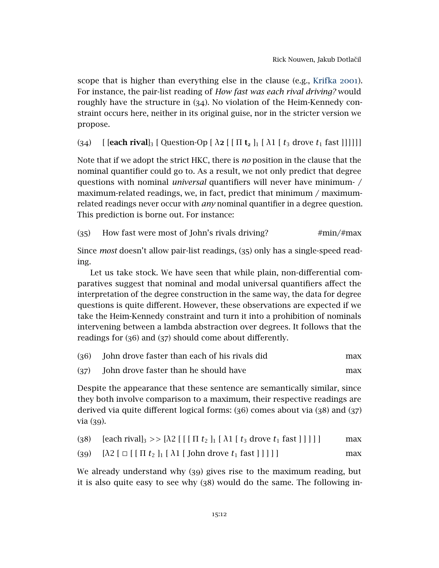scope that is higher than everything else in the clause (e.g., [Krifka](#page-20-12) 2001). For instance, the pair-list reading of *How fast was each rival driving?* would roughly have the structure in (34). No violation of the Heim-Kennedy constraint occurs here, neither in its original guise, nor in the stricter version we propose.

(34)  $\left[$  [each rival]<sub>3</sub>  $\left[$  Question-Op  $\left[ \lambda_2 \right] \left[ \Pi_2 \right]_1 \left[ \lambda_1 \left[ t_3 \right] \right]$  drove  $t_1$  fast []]]]]

Note that if we adopt the strict HKC, there is *no* position in the clause that the nominal quantifier could go to. As a result, we not only predict that degree questions with nominal *universal* quantifiers will never have minimum- / maximum-related readings, we, in fact, predict that minimum / maximumrelated readings never occur with *any* nominal quantifier in a degree question. This prediction is borne out. For instance:

(35) How fast were most of John's rivals driving?  $\#min/\#max$ 

Since *most* doesn't allow pair-list readings, (35) only has a single-speed reading.

Let us take stock. We have seen that while plain, non-differential comparatives suggest that nominal and modal universal quantifiers affect the interpretation of the degree construction in the same way, the data for degree questions is quite different. However, these observations are expected if we take the Heim-Kennedy constraint and turn it into a prohibition of nominals intervening between a lambda abstraction over degrees. It follows that the readings for (36) and (37) should come about differently.

| John drove faster than each of his rivals did | max |
|-----------------------------------------------|-----|
|                                               |     |

```
(37) John drove faster than he should have max
```
Despite the appearance that these sentence are semantically similar, since they both involve comparison to a maximum, their respective readings are derived via quite different logical forms: (36) comes about via (38) and (37) via (39).

| (38) [each rival] <sub>3</sub> >> $[\lambda 2$ [[[ $\Pi t_2$ ] <sub>1</sub> [ $\lambda$ 1 [ $t_3$ drove $t_1$ fast []]]] | max |
|--------------------------------------------------------------------------------------------------------------------------|-----|
| (39) $[\lambda 2 [\Box [[\Pi t_2]_1 [\lambda 1 [[John drove t_1 fast]]]]]$                                               | max |

We already understand why (39) gives rise to the maximum reading, but it is also quite easy to see why (38) would do the same. The following in-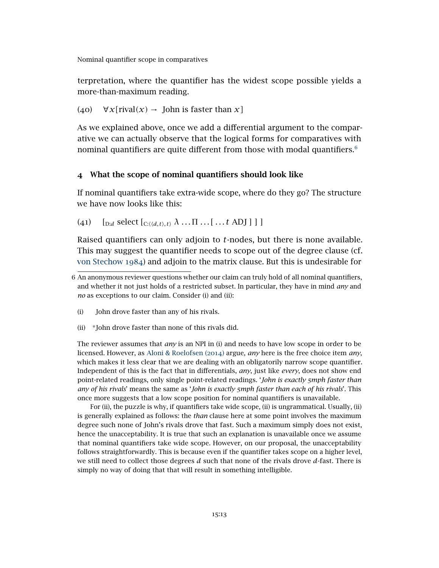terpretation, where the quantifier has the widest scope possible yields a more-than-maximum reading.

(40) ∀*x[*rival*(x)* → John is faster than *x]*

As we explained above, once we add a differential argument to the comparative we can actually observe that the logical forms for comparatives with nominal quantifiers are quite different from those with modal quantifiers. $6$ 

## 4 What the scope of nominal quantifiers should look like

If nominal quantifiers take extra-wide scope, where do they go? The structure we have now looks like this:

<span id="page-12-1"></span>(41)  $\left[\int_{D:d} \text{select} \left[ C_{:}\langle \langle d,t \rangle,t \rangle \right] \lambda \dots \Pi \dots \left[ \dots t \text{ ADJ} \right] \right]$ 

Raised quantifiers can only adjoin to *t*-nodes, but there is none available. This may suggest the quantifier needs to scope out of the degree clause (cf. [von Stechow](#page-21-0) 1984) and adjoin to the matrix clause. But this is undesirable for

- (i) John drove faster than any of his rivals.
- (ii) \*John drove faster than none of this rivals did.

The reviewer assumes that *any* is an NPI in (i) and needs to have low scope in order to be licensed. However, as [Aloni & Roelofsen \(](#page-19-5)2014) argue, *any* here is the free choice item *any*, which makes it less clear that we are dealing with an obligatorily narrow scope quantifier. Independent of this is the fact that in differentials, *any*, just like *every*, does not show end point-related readings, only single point-related readings. '*John is exactly 5mph faster than any of his rivals*' means the same as '*John is exactly 5mph faster than each of his rivals*'. This once more suggests that a low scope position for nominal quantifiers is unavailable.

For (ii), the puzzle is why, if quantifiers take wide scope, (ii) is ungrammatical. Usually, (ii) is generally explained as follows: the *than* clause here at some point involves the maximum degree such none of John's rivals drove that fast. Such a maximum simply does not exist, hence the unacceptability. It is true that such an explanation is unavailable once we assume that nominal quantifiers take wide scope. However, on our proposal, the unacceptability follows straightforwardly. This is because even if the quantifier takes scope on a higher level, we still need to collect those degrees *d* such that none of the rivals drove *d*-fast. There is simply no way of doing that that will result in something intelligible.

<span id="page-12-0"></span><sup>6</sup> An anonymous reviewer questions whether our claim can truly hold of all nominal quantifiers, and whether it not just holds of a restricted subset. In particular, they have in mind *any* and *no* as exceptions to our claim. Consider (i) and (ii):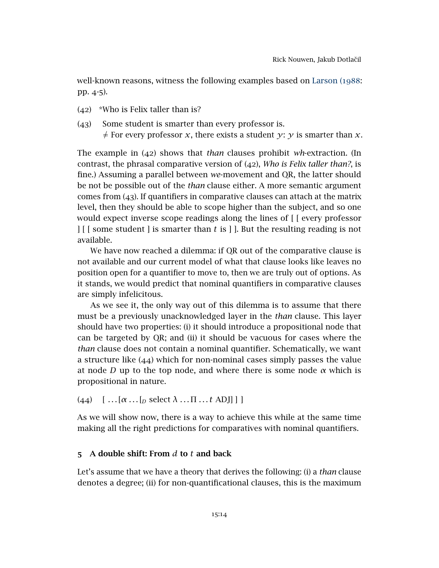well-known reasons, witness the following examples based on [Larson \(](#page-20-0)1988: pp. 4-5).

- (42) \*Who is Felix taller than is?
- (43) Some student is smarter than every professor is.  $\neq$  For every professor *x*, there exists a student *y*: *y* is smarter than *x*.

The example in (42) shows that *than* clauses prohibit *wh*-extraction. (In contrast, the phrasal comparative version of (42), *Who is Felix taller than?*, is fine.) Assuming a parallel between *we*-movement and QR, the latter should be not be possible out of the *than* clause either. A more semantic argument comes from (43). If quantifiers in comparative clauses can attach at the matrix level, then they should be able to scope higher than the subject, and so one would expect inverse scope readings along the lines of [ [ every professor ] [ [ some student ] is smarter than *t* is ] ]. But the resulting reading is not available.

We have now reached a dilemma: if QR out of the comparative clause is not available and our current model of what that clause looks like leaves no position open for a quantifier to move to, then we are truly out of options. As it stands, we would predict that nominal quantifiers in comparative clauses are simply infelicitous.

As we see it, the only way out of this dilemma is to assume that there must be a previously unacknowledged layer in the *than* clause. This layer should have two properties: (i) it should introduce a propositional node that can be targeted by QR; and (ii) it should be vacuous for cases where the *than* clause does not contain a nominal quantifier. Schematically, we want a structure like (44) which for non-nominal cases simply passes the value at node *D* up to the top node, and where there is some node *α* which is propositional in nature.

(44)  $\left[ \dots[\alpha \dots [p \text{ select } \lambda \dots \Pi \dots t \text{ ADJ}] \right]$ 

As we will show now, there is a way to achieve this while at the same time making all the right predictions for comparatives with nominal quantifiers.

## 5 A double shift: From *d* to *t* and back

Let's assume that we have a theory that derives the following: (i) a *than* clause denotes a degree; (ii) for non-quantificational clauses, this is the maximum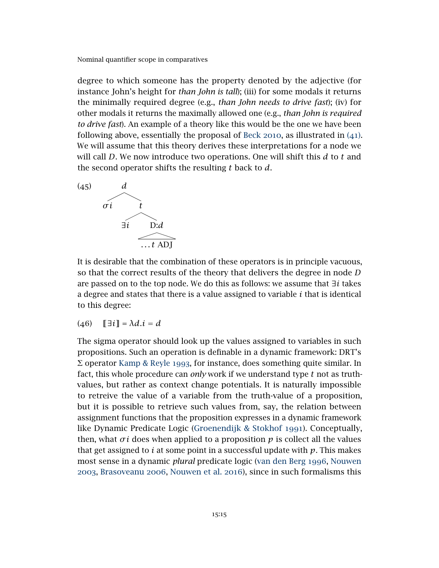degree to which someone has the property denoted by the adjective (for instance John's height for *than John is tall*); (iii) for some modals it returns the minimally required degree (e.g., *than John needs to drive fast*); (iv) for other modals it returns the maximally allowed one (e.g., *than John is required to drive fast*). An example of a theory like this would be the one we have been following above, essentially the proposal of [Beck](#page-19-2) 2010, as illustrated in ([41](#page-12-1)). We will assume that this theory derives these interpretations for a node we will call *D*. We now introduce two operations. One will shift this *d* to *t* and the second operator shifts the resulting *t* back to *d*.

<span id="page-14-0"></span>

It is desirable that the combination of these operators is in principle vacuous, so that the correct results of the theory that delivers the degree in node *D* are passed on to the top node. We do this as follows: we assume that ∃*i* takes a degree and states that there is a value assigned to variable *i* that is identical to this degree:

$$
(46) \quad \llbracket \exists i \rrbracket = \lambda d. i = d
$$

The sigma operator should look up the values assigned to variables in such propositions. Such an operation is definable in a dynamic framework: DRT's Σ operator [Kamp & Reyle](#page-20-13) 1993, for instance, does something quite similar. In fact, this whole procedure can *only* work if we understand type *t* not as truthvalues, but rather as context change potentials. It is naturally impossible to retreive the value of a variable from the truth-value of a proposition, but it is possible to retrieve such values from, say, the relation between assignment functions that the proposition expresses in a dynamic framework like Dynamic Predicate Logic [\(Groenendijk & Stokhof](#page-20-14) 1991). Conceptually, then, what  $\sigma i$  does when applied to a proposition  $p$  is collect all the values that get assigned to *i* at some point in a successful update with  $p$ . This makes most sense in a dynamic *plural* predicate logic [\(van den Berg](#page-19-9) 1996, [Nouwen](#page-20-15) [2003](#page-20-15), [Brasoveanu](#page-20-16) 2006, [Nouwen et al.](#page-21-5) 2016), since in such formalisms this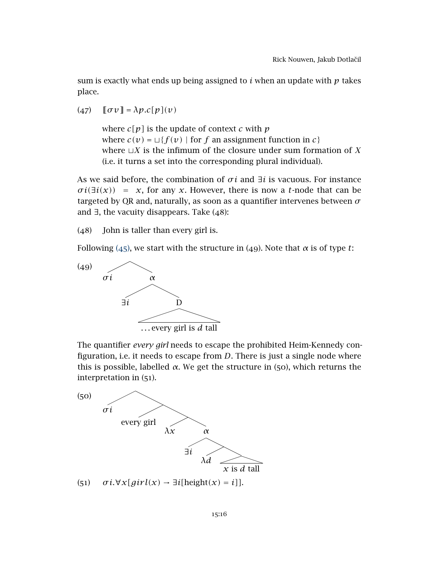sum is exactly what ends up being assigned to *i* when an update with *p* takes place.

 $(47)$   $[\sigma v] = \lambda p.c[p](v)$ 

where *c[p]* is the update of context *c* with *p* where  $c(v) = \sqcup \{f(v) \mid \text{for } f \text{ an assignment function in } c\}$ where  $\sqcup X$  is the infimum of the closure under sum formation of *X* (i.e. it turns a set into the corresponding plural individual).

As we said before, the combination of *σ i* and ∃*i* is vacuous. For instance  $\sigma i(\exists i(x)) = x$ , for any *x*. However, there is now a *t*-node that can be targeted by QR and, naturally, as soon as a quantifier intervenes between *σ* and  $\exists$ , the vacuity disappears. Take  $(48)$ :

<span id="page-15-0"></span>(48) John is taller than every girl is.

Following ([45](#page-14-0)), we start with the structure in (49). Note that  $\alpha$  is of type *t*:



The quantifier *every girl* needs to escape the prohibited Heim-Kennedy configuration, i.e. it needs to escape from *D*. There is just a single node where this is possible, labelled *α*. We get the structure in (50), which returns the interpretation in (51).

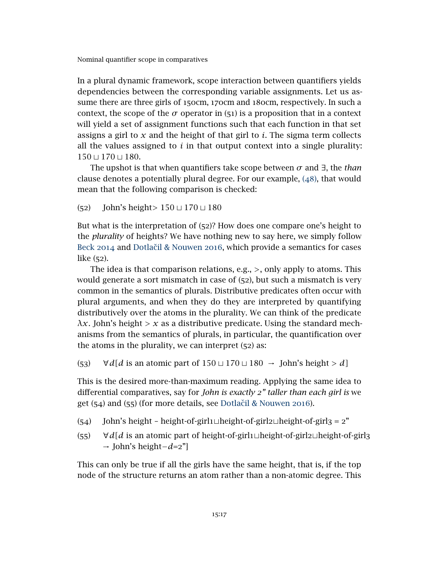In a plural dynamic framework, scope interaction between quantifiers yields dependencies between the corresponding variable assignments. Let us assume there are three girls of 150cm, 170cm and 180cm, respectively. In such a context, the scope of the  $\sigma$  operator in (51) is a proposition that in a context will yield a set of assignment functions such that each function in that set assigns a girl to *x* and the height of that girl to *i*. The sigma term collects all the values assigned to  $i$  in that output context into a single plurality:  $150 \sqcup 170 \sqcup 180.$ 

The upshot is that when quantifiers take scope between *σ* and ∃, the *than* clause denotes a potentially plural degree. For our example, ([48](#page-15-0)), that would mean that the following comparison is checked:

(52) John's height> 150 ⊔ 170 ⊔ 180

But what is the interpretation of (52)? How does one compare one's height to the *plurality* of heights? We have nothing new to say here, we simply follow [Beck](#page-19-4) 2014 and Dotlačil & Nouwen 2016, which provide a semantics for cases like (52).

The idea is that comparison relations, e.g., *>*, only apply to atoms. This would generate a sort mismatch in case of (52), but such a mismatch is very common in the semantics of plurals. Distributive predicates often occur with plural arguments, and when they do they are interpreted by quantifying distributively over the atoms in the plurality. We can think of the predicate *λx.* John's height *> x* as a distributive predicate. Using the standard mechanisms from the semantics of plurals, in particular, the quantification over the atoms in the plurality, we can interpret (52) as:

 $(53)$   $\forall d[d \text{ is an atomic part of } 150 \sqcup 170 \sqcup 180 \rightarrow \text{John's height} > d]$ 

This is the desired more-than-maximum reading. Applying the same idea to differential comparatives, say for *John is exactly 2" taller than each girl is* we get  $(54)$  and  $(55)$  (for more details, see Dotlačil & Nouwen 2016).

- (54) John's height height-of-girl $1 \perp$ height-of-girl $2 \perp$ height-of-girl $3 = 2$ "
- (55)  $\forall d[d]$  is an atomic part of height-of-girl1 $\sqcup$ height-of-girl2 $\sqcup$ height-of-girl3 → John's height−*d*=2"]

This can only be true if all the girls have the same height, that is, if the top node of the structure returns an atom rather than a non-atomic degree. This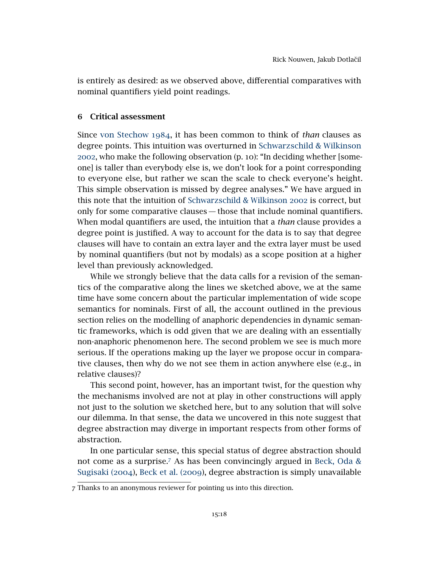is entirely as desired: as we observed above, differential comparatives with nominal quantifiers yield point readings.

### 6 Critical assessment

Since [von Stechow](#page-21-0) 1984, it has been common to think of *than* clauses as degree points. This intuition was overturned in [Schwarzschild & Wilkinson](#page-21-2) [2002](#page-21-2), who make the following observation (p. 10): "In deciding whether [someone] is taller than everybody else is, we don't look for a point corresponding to everyone else, but rather we scan the scale to check everyone's height. This simple observation is missed by degree analyses." We have argued in this note that the intuition of [Schwarzschild & Wilkinson](#page-21-2) 2002 is correct, but only for some comparative clauses — those that include nominal quantifiers. When modal quantifiers are used, the intuition that a *than* clause provides a degree point is justified. A way to account for the data is to say that degree clauses will have to contain an extra layer and the extra layer must be used by nominal quantifiers (but not by modals) as a scope position at a higher level than previously acknowledged.

While we strongly believe that the data calls for a revision of the semantics of the comparative along the lines we sketched above, we at the same time have some concern about the particular implementation of wide scope semantics for nominals. First of all, the account outlined in the previous section relies on the modelling of anaphoric dependencies in dynamic semantic frameworks, which is odd given that we are dealing with an essentially non-anaphoric phenomenon here. The second problem we see is much more serious. If the operations making up the layer we propose occur in comparative clauses, then why do we not see them in action anywhere else (e.g., in relative clauses)?

This second point, however, has an important twist, for the question why the mechanisms involved are not at play in other constructions will apply not just to the solution we sketched here, but to any solution that will solve our dilemma. In that sense, the data we uncovered in this note suggest that degree abstraction may diverge in important respects from other forms of abstraction.

In one particular sense, this special status of degree abstraction should not come as a surprise.[7](#page-17-0) As has been convincingly argued in [Beck, Oda &](#page-19-10) [Sugisaki \(](#page-19-10)2004), [Beck et al. \(](#page-19-11)2009), degree abstraction is simply unavailable

<span id="page-17-0"></span><sup>7</sup> Thanks to an anonymous reviewer for pointing us into this direction.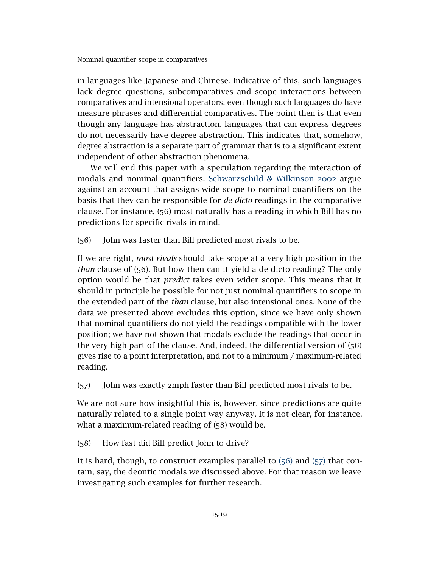in languages like Japanese and Chinese. Indicative of this, such languages lack degree questions, subcomparatives and scope interactions between comparatives and intensional operators, even though such languages do have measure phrases and differential comparatives. The point then is that even though any language has abstraction, languages that can express degrees do not necessarily have degree abstraction. This indicates that, somehow, degree abstraction is a separate part of grammar that is to a significant extent independent of other abstraction phenomena.

We will end this paper with a speculation regarding the interaction of modals and nominal quantifiers. [Schwarzschild & Wilkinson](#page-21-2) 2002 argue against an account that assigns wide scope to nominal quantifiers on the basis that they can be responsible for *de dicto* readings in the comparative clause. For instance, (56) most naturally has a reading in which Bill has no predictions for specific rivals in mind.

<span id="page-18-0"></span>(56) John was faster than Bill predicted most rivals to be.

If we are right, *most rivals* should take scope at a very high position in the *than* clause of (56). But how then can it yield a de dicto reading? The only option would be that *predict* takes even wider scope. This means that it should in principle be possible for not just nominal quantifiers to scope in the extended part of the *than* clause, but also intensional ones. None of the data we presented above excludes this option, since we have only shown that nominal quantifiers do not yield the readings compatible with the lower position; we have not shown that modals exclude the readings that occur in the very high part of the clause. And, indeed, the differential version of (56) gives rise to a point interpretation, and not to a minimum / maximum-related reading.

<span id="page-18-1"></span>(57) John was exactly 2mph faster than Bill predicted most rivals to be.

We are not sure how insightful this is, however, since predictions are quite naturally related to a single point way anyway. It is not clear, for instance, what a maximum-related reading of (58) would be.

(58) How fast did Bill predict John to drive?

It is hard, though, to construct examples parallel to ([56](#page-18-0)) and ([57](#page-18-1)) that contain, say, the deontic modals we discussed above. For that reason we leave investigating such examples for further research.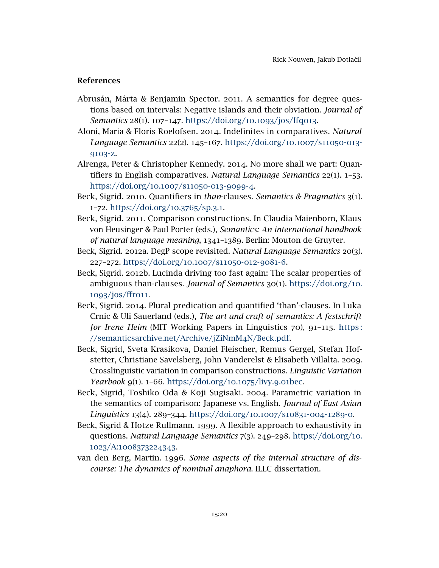### References

- <span id="page-19-7"></span>Abrusán, Márta & Benjamin Spector. 2011. A semantics for degree questions based on intervals: Negative islands and their obviation. *Journal of Semantics* 28(1). 107–147. [https://doi.org/](https://doi.org/10.1093/jos/ffq013)10.1093/jos/ffq013.
- <span id="page-19-5"></span>Aloni, Maria & Floris Roelofsen. 2014. Indefinites in comparatives. *Natural Language Semantics* 22(2). 145–167. [https://doi.org/](https://doi.org/10.1007/s11050-013-9103-z)10.1007/s11050-013- [9103](https://doi.org/10.1007/s11050-013-9103-z)-z.
- <span id="page-19-6"></span>Alrenga, Peter & Christopher Kennedy. 2014. No more shall we part: Quantifiers in English comparatives. *Natural Language Semantics* 22(1). 1–53. [https://doi.org/](https://doi.org/10.1007/s11050-013-9099-4)10.1007/s11050-013-9099-4.
- <span id="page-19-2"></span>Beck, Sigrid. 2010. Quantifiers in *than*-clauses. *Semantics & Pragmatics* 3(1). 1–72. [https://doi.org/](https://doi.org/10.3765/sp.3.1)10.3765/sp.3.1.
- <span id="page-19-8"></span>Beck, Sigrid. 2011. Comparison constructions. In Claudia Maienborn, Klaus von Heusinger & Paul Porter (eds.), *Semantics: An international handbook of natural language meaning*, 1341–1389. Berlin: Mouton de Gruyter.
- <span id="page-19-1"></span>Beck, Sigrid. 2012a. DegP scope revisited. *Natural Language Semantics* 20(3). 227–272. [https://doi.org/](https://doi.org/10.1007/s11050-012-9081-6)10.1007/s11050-012-9081-6.
- <span id="page-19-3"></span>Beck, Sigrid. 2012b. Lucinda driving too fast again: The scalar properties of ambiguous than-clauses. *Journal of Semantics* 30(1). [https://doi.org/](https://doi.org/10.1093/jos/ffr011)10. 1093[/jos/ffr](https://doi.org/10.1093/jos/ffr011)011.
- <span id="page-19-4"></span>Beck, Sigrid. 2014. Plural predication and quantified 'than'-clauses. In Luka Crnic & Uli Sauerland (eds.), *The art and craft of semantics: A festschrift for Irene Heim* (MIT Working Papers in Linguistics 70), 91–115. [https :](https://semanticsarchive.net/Archive/jZiNmM4N/Beck.pdf) [//semanticsarchive.net/Archive/jZiNmM](https://semanticsarchive.net/Archive/jZiNmM4N/Beck.pdf)4N/Beck.pdf.
- <span id="page-19-11"></span>Beck, Sigrid, Sveta Krasikova, Daniel Fleischer, Remus Gergel, Stefan Hofstetter, Christiane Savelsberg, John Vanderelst & Elisabeth Villalta. 2009. Crosslinguistic variation in comparison constructions. *Linguistic Variation Yearbook* 9(1). 1–66. [https://doi.org/](https://doi.org/10.1075/livy.9.01bec)10.1075/livy.9.01bec.
- <span id="page-19-10"></span>Beck, Sigrid, Toshiko Oda & Koji Sugisaki. 2004. Parametric variation in the semantics of comparison: Japanese vs. English. *Journal of East Asian Linguistics* 13(4). 289–344. [https://doi.org/](https://doi.org/10.1007/s10831-004-1289-0)10.1007/s10831-004-1289-0.
- <span id="page-19-0"></span>Beck, Sigrid & Hotze Rullmann. 1999. A flexible approach to exhaustivity in questions. *Natural Language Semantics* 7(3). 249–298. [https://doi.org/](https://doi.org/10.1023/A:1008373224343)10. 1023/A:[1008373224343](https://doi.org/10.1023/A:1008373224343).
- <span id="page-19-9"></span>van den Berg, Martin. 1996. *Some aspects of the internal structure of discourse: The dynamics of nominal anaphora*. ILLC dissertation.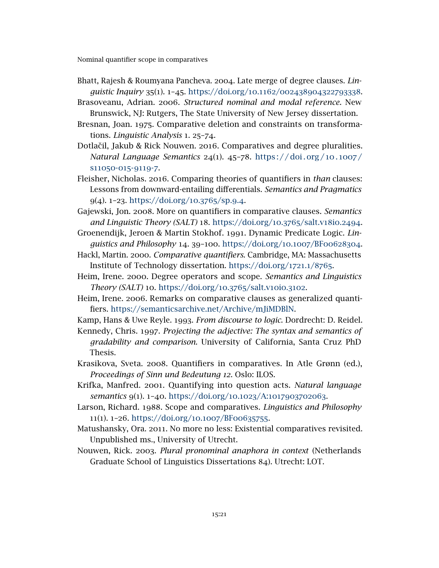- <span id="page-20-11"></span>Bhatt, Rajesh & Roumyana Pancheva. 2004. Late merge of degree clauses. *Linguistic Inquiry* 35(1). 1–45. https://doi.org/10.1162/[002438904322793338](https://doi.org/10.1162/002438904322793338).
- <span id="page-20-16"></span>Brasoveanu, Adrian. 2006. *Structured nominal and modal reference*. New Brunswick, NJ: Rutgers, The State University of New Jersey dissertation.
- <span id="page-20-9"></span>Bresnan, Joan. 1975. Comparative deletion and constraints on transformations. *Linguistic Analysis* 1. 25–74.
- <span id="page-20-8"></span>Dotlačil, Jakub & Rick Nouwen. 2016. Comparatives and degree pluralities. *Natural Language Semantics* 24(1). 45–78. [https : / / doi . org /](https://doi.org/10.1007/s11050-015-9119-7) 10. 1007 / s[11050](https://doi.org/10.1007/s11050-015-9119-7)-015-9119-7.
- <span id="page-20-7"></span>Fleisher, Nicholas. 2016. Comparing theories of quantifiers in *than* clauses: Lessons from downward-entailing differentials. *Semantics and Pragmatics* 9(4). 1–23. [https://doi.org/](https://doi.org/10.3765/sp.9.4)10.3765/sp.9.4.
- <span id="page-20-4"></span>Gajewski, Jon. 2008. More on quantifiers in comparative clauses. *Semantics and Linguistic Theory (SALT)* 18. [https://doi.org/](https://doi.org/10.3765/salt.v18i0.2494)10.3765/salt.v18i0.2494.
- <span id="page-20-14"></span>Groenendijk, Jeroen & Martin Stokhof. 1991. Dynamic Predicate Logic. *Linguistics and Philosophy* 14. 39–100. [https://doi.org/](https://doi.org/10.1007/BF00628304)10.1007/BF00628304.
- <span id="page-20-10"></span>Hackl, Martin. 2000. *Comparative quantifiers*. Cambridge, MA: Massachusetts Institute of Technology dissertation. [https://doi.org/](https://doi.org/1721.1/8765)1721.1/8765.
- <span id="page-20-2"></span>Heim, Irene. 2000. Degree operators and scope. *Semantics and Linguistics Theory (SALT)* 10. [https://doi.org/](https://doi.org/10.3765/salt.v10i0.3102)10.3765/salt.v10i0.3102.
- <span id="page-20-3"></span>Heim, Irene. 2006. Remarks on comparative clauses as generalized quantifiers. [https://semanticsarchive.net/Archive/mJiMDBlN.](https://semanticsarchive.net/Archive/mJiMDBlN)
- <span id="page-20-13"></span>Kamp, Hans & Uwe Reyle. 1993. *From discourse to logic*. Dordrecht: D. Reidel.
- <span id="page-20-1"></span>Kennedy, Chris. 1997. *Projecting the adjective: The syntax and semantics of gradability and comparison*. University of California, Santa Cruz PhD Thesis.
- <span id="page-20-5"></span>Krasikova, Sveta. 2008. Quantifiers in comparatives. In Atle Grønn (ed.), *Proceedings of Sinn und Bedeutung 12*. Oslo: ILOS.
- <span id="page-20-12"></span>Krifka, Manfred. 2001. Quantifying into question acts. *Natural language semantics* 9(1). 1–40. [https://doi.org/](https://doi.org/10.1023/A:1017903702063)10.1023/A:1017903702063.
- <span id="page-20-0"></span>Larson, Richard. 1988. Scope and comparatives. *Linguistics and Philosophy* 11(1). 1–26. [https://doi.org/](https://doi.org/10.1007/BF00635755)10.1007/BF00635755.
- <span id="page-20-6"></span>Matushansky, Ora. 2011. No more no less: Existential comparatives revisited. Unpublished ms., University of Utrecht.
- <span id="page-20-15"></span>Nouwen, Rick. 2003. *Plural pronominal anaphora in context* (Netherlands Graduate School of Linguistics Dissertations 84). Utrecht: LOT.